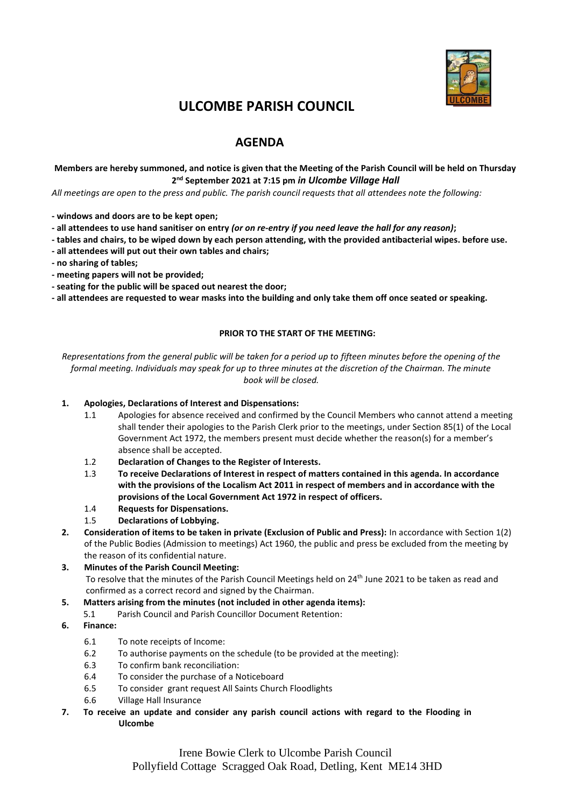

## **ULCOMBE PARISH COUNCIL**

### **AGENDA**

### **Members are hereby summoned, and notice is given that the Meeting of the Parish Council will be held on Thursday 2 nd September 2021 at 7:15 pm** *in Ulcombe Village Hall*

*All meetings are open to the press and public. The parish council requests that all attendees note the following:*

- **- windows and doors are to be kept open;**
- **- all attendees to use hand sanitiser on entry** *(or on re-entry if you need leave the hall for any reason)***;**
- **- tables and chairs, to be wiped down by each person attending, with the provided antibacterial wipes. before use.**
- **- all attendees will put out their own tables and chairs;**
- **- no sharing of tables;**
- **- meeting papers will not be provided;**
- **- seating for the public will be spaced out nearest the door;**
- **- all attendees are requested to wear masks into the building and only take them off once seated or speaking.**

#### **PRIOR TO THE START OF THE MEETING:**

*Representations from the general public will be taken for a period up to fifteen minutes before the opening of the formal meeting. Individuals may speak for up to three minutes at the discretion of the Chairman. The minute book will be closed.*

### **1. Apologies, Declarations of Interest and Dispensations:**

- 1.1 Apologies for absence received and confirmed by the Council Members who cannot attend a meeting shall tender their apologies to the Parish Clerk prior to the meetings, under Section 85(1) of the Local Government Act 1972, the members present must decide whether the reason(s) for a member's absence shall be accepted.
- 1.2 **Declaration of Changes to the Register of Interests.**
- 1.3 **To receive Declarations of Interest in respect of matters contained in this agenda. In accordance with the provisions of the Localism Act 2011 in respect of members and in accordance with the provisions of the Local Government Act 1972 in respect of officers.**
- 1.4 **Requests for Dispensations.**
- 1.5 **Declarations of Lobbying.**
- **2. Consideration of items to be taken in private (Exclusion of Public and Press):** In accordance with Section 1(2) of the Public Bodies (Admission to meetings) Act 1960, the public and press be excluded from the meeting by the reason of its confidential nature.
- **3. Minutes of the Parish Council Meeting:**  To resolve that the minutes of the Parish Council Meetings held on 24<sup>th</sup> June 2021 to be taken as read and confirmed as a correct record and signed by the Chairman.
- **5. Matters arising from the minutes (not included in other agenda items):**
	- 5.1 Parish Council and Parish Councillor Document Retention:
- **6. Finance:**
	- 6.1 To note receipts of Income:
	- 6.2 To authorise payments on the schedule (to be provided at the meeting):
	- 6.3 To confirm bank reconciliation:
	- 6.4 To consider the purchase of a Noticeboard
	- 6.5 To consider grant request All Saints Church Floodlights
	- 6.6 Village Hall Insurance
- **7. To receive an update and consider any parish council actions with regard to the Flooding in Ulcombe**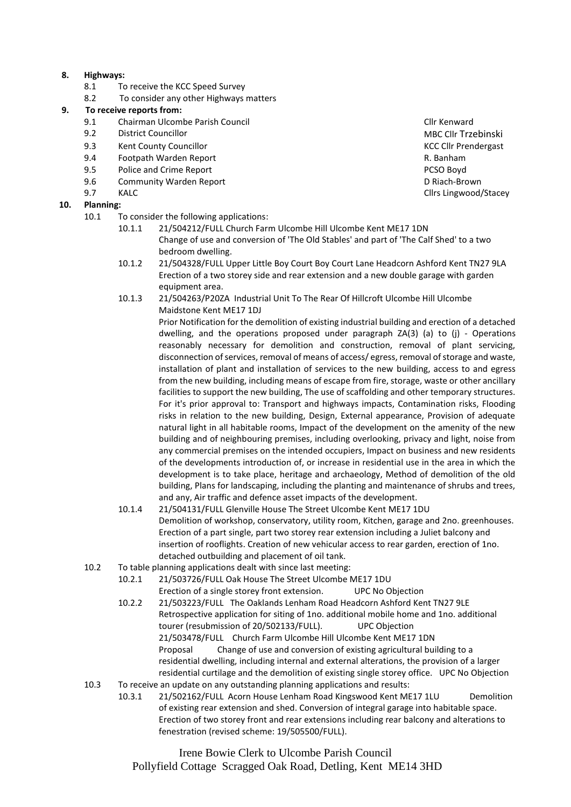### **8. Highways:**

- 8.1 To receive the KCC Speed Survey
- 8.2 To consider any other Highways matters

# **9. To receive reports from:**<br>**9.1 Chairman Ulcom**

- 9.1 Chairman Ulcombe Parish Council **Club Connect Club Connect Club Connect Club Connect Club Connect Club Connect** Council Club Connect Council Club Connect Council Club Connect Council Club Connect Council Club Club Conn
- 
- 9.3 Kent County Councillor KCC Cllr Prendergast
- 9.4 Footpath Warden Report R. Banham
- 9.5 Police and Crime Report PCSO Boyd
- 9.6 Community Warden Report D Riach-Brown
- 

### **10. Planning:**

- 10.1 To consider the following applications:
	- 10.1.1 21/504212/FULL Church Farm Ulcombe Hill Ulcombe Kent ME17 1DN Change of use and conversion of 'The Old Stables' and part of 'The Calf Shed' to a two bedroom dwelling.
	- 10.1.2 21/504328/FULL Upper Little Boy Court Boy Court Lane Headcorn Ashford Kent TN27 9LA Erection of a two storey side and rear extension and a new double garage with garden equipment area.
	- 10.1.3 21/504263/P20ZA Industrial Unit To The Rear Of Hillcroft Ulcombe Hill Ulcombe Maidstone Kent ME17 1DJ

Prior Notification for the demolition of existing industrial building and erection of a detached dwelling, and the operations proposed under paragraph ZA(3) (a) to (j) - Operations reasonably necessary for demolition and construction, removal of plant servicing, disconnection of services, removal of means of access/ egress, removal of storage and waste, installation of plant and installation of services to the new building, access to and egress from the new building, including means of escape from fire, storage, waste or other ancillary facilities to support the new building, The use of scaffolding and other temporary structures. For it's prior approval to: Transport and highways impacts, Contamination risks, Flooding risks in relation to the new building, Design, External appearance, Provision of adequate natural light in all habitable rooms, Impact of the development on the amenity of the new building and of neighbouring premises, including overlooking, privacy and light, noise from any commercial premises on the intended occupiers, Impact on business and new residents of the developments introduction of, or increase in residential use in the area in which the development is to take place, heritage and archaeology, Method of demolition of the old building, Plans for landscaping, including the planting and maintenance of shrubs and trees, and any, Air traffic and defence asset impacts of the development.

- 10.1.4 21/504131/FULL Glenville House The Street Ulcombe Kent ME17 1DU Demolition of workshop, conservatory, utility room, Kitchen, garage and 2no. greenhouses. Erection of a part single, part two storey rear extension including a Juliet balcony and insertion of rooflights. Creation of new vehicular access to rear garden, erection of 1no. detached outbuilding and placement of oil tank.
- 10.2 To table planning applications dealt with since last meeting:
	- 10.2.1 21/503726/FULL Oak House The Street Ulcombe ME17 1DU Erection of a single storey front extension. UPC No Objection 10.2.2 21/503223/FULL The Oaklands Lenham Road Headcorn Ashford Kent TN27 9LE Retrospective application for siting of 1no. additional mobile home and 1no. additional tourer (resubmission of 20/502133/FULL). UPC Objection 21/503478/FULL Church Farm Ulcombe Hill Ulcombe Kent ME17 1DN Proposal Change of use and conversion of existing agricultural building to a residential dwelling, including internal and external alterations, the provision of a larger
- residential curtilage and the demolition of existing single storey office. UPC No Objection 10.3 To receive an update on any outstanding planning applications and results:
	- 10.3.1 21/502162/FULL Acorn House Lenham Road Kingswood Kent ME17 1LU Demolition of existing rear extension and shed. Conversion of integral garage into habitable space. Erection of two storey front and rear extensions including rear balcony and alterations to fenestration (revised scheme: 19/505500/FULL).

Irene Bowie Clerk to Ulcombe Parish Council Pollyfield Cottage Scragged Oak Road, Detling, Kent ME14 3HD

9.2 District Councillor **District Councillor** Business Councillor Councillor Business Councillor MBC Cllr Trzebinski<br>9.3 Kent County Councillor 9.7 KALC **KALC Club** Club **Club Club Club Club Club Club Club Club Club Club Club Club Club Club Club Club Club Club Club Club Club Club Club Club Club Club Club Club**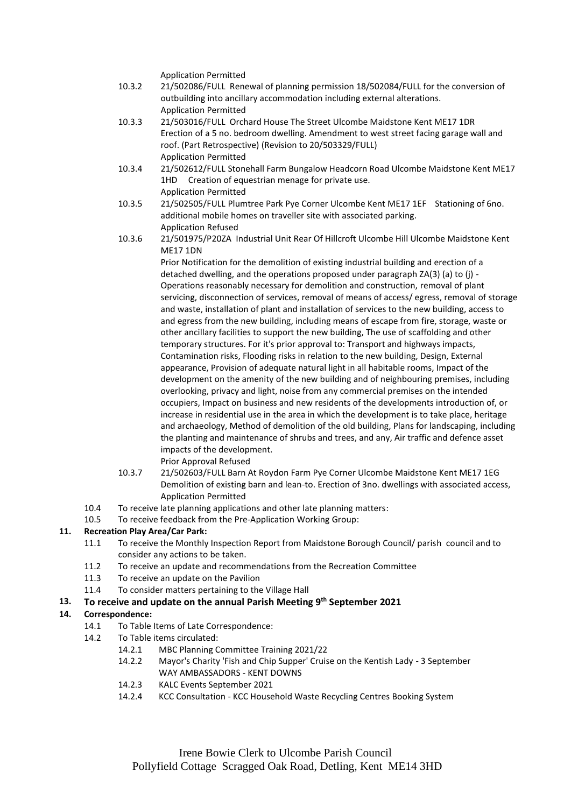Application Permitted

- 10.3.2 21/502086/FULL Renewal of planning permission 18/502084/FULL for the conversion of outbuilding into ancillary accommodation including external alterations. Application Permitted
- 10.3.3 21/503016/FULL Orchard House The Street Ulcombe Maidstone Kent ME17 1DR Erection of a 5 no. bedroom dwelling. Amendment to west street facing garage wall and roof. (Part Retrospective) (Revision to 20/503329/FULL) Application Permitted
- 10.3.4 21/502612/FULL Stonehall Farm Bungalow Headcorn Road Ulcombe Maidstone Kent ME17 1HD Creation of equestrian menage for private use. Application Permitted
- 10.3.5 21/502505/FULL Plumtree Park Pye Corner Ulcombe Kent ME17 1EF Stationing of 6no. additional mobile homes on traveller site with associated parking. Application Refused
- 10.3.6 21/501975/P20ZA Industrial Unit Rear Of Hillcroft Ulcombe Hill Ulcombe Maidstone Kent ME17 1DN

Prior Notification for the demolition of existing industrial building and erection of a detached dwelling, and the operations proposed under paragraph ZA(3) (a) to (j) - Operations reasonably necessary for demolition and construction, removal of plant servicing, disconnection of services, removal of means of access/ egress, removal of storage and waste, installation of plant and installation of services to the new building, access to and egress from the new building, including means of escape from fire, storage, waste or other ancillary facilities to support the new building, The use of scaffolding and other temporary structures. For it's prior approval to: Transport and highways impacts, Contamination risks, Flooding risks in relation to the new building, Design, External appearance, Provision of adequate natural light in all habitable rooms, Impact of the development on the amenity of the new building and of neighbouring premises, including overlooking, privacy and light, noise from any commercial premises on the intended occupiers, Impact on business and new residents of the developments introduction of, or increase in residential use in the area in which the development is to take place, heritage and archaeology, Method of demolition of the old building, Plans for landscaping, including the planting and maintenance of shrubs and trees, and any, Air traffic and defence asset impacts of the development.

- Prior Approval Refused
- 10.3.7 21/502603/FULL Barn At Roydon Farm Pye Corner Ulcombe Maidstone Kent ME17 1EG Demolition of existing barn and lean-to. Erection of 3no. dwellings with associated access, Application Permitted
- 10.4 To receive late planning applications and other late planning matters:
- 10.5 To receive feedback from the Pre-Application Working Group:

### **11. Recreation Play Area/Car Park:**

- 11.1 To receive the Monthly Inspection Report from Maidstone Borough Council/ parish council and to consider any actions to be taken.
- 11.2 To receive an update and recommendations from the Recreation Committee
- 11.3 To receive an update on the Pavilion
- 11.4 To consider matters pertaining to the Village Hall

### **13. To receive and update on the annual Parish Meeting 9 th September 2021**

### **14. Correspondence:**

- 14.1 To Table Items of Late Correspondence:
- 14.2 To Table items circulated:
	- 14.2.1 MBC Planning Committee Training 2021/22
	- 14.2.2 Mayor's Charity 'Fish and Chip Supper' Cruise on the Kentish Lady 3 September
	- WAY AMBASSADORS KENT DOWNS
	- 14.2.3 KALC Events September 2021
	- 14.2.4 KCC Consultation KCC Household Waste Recycling Centres Booking System